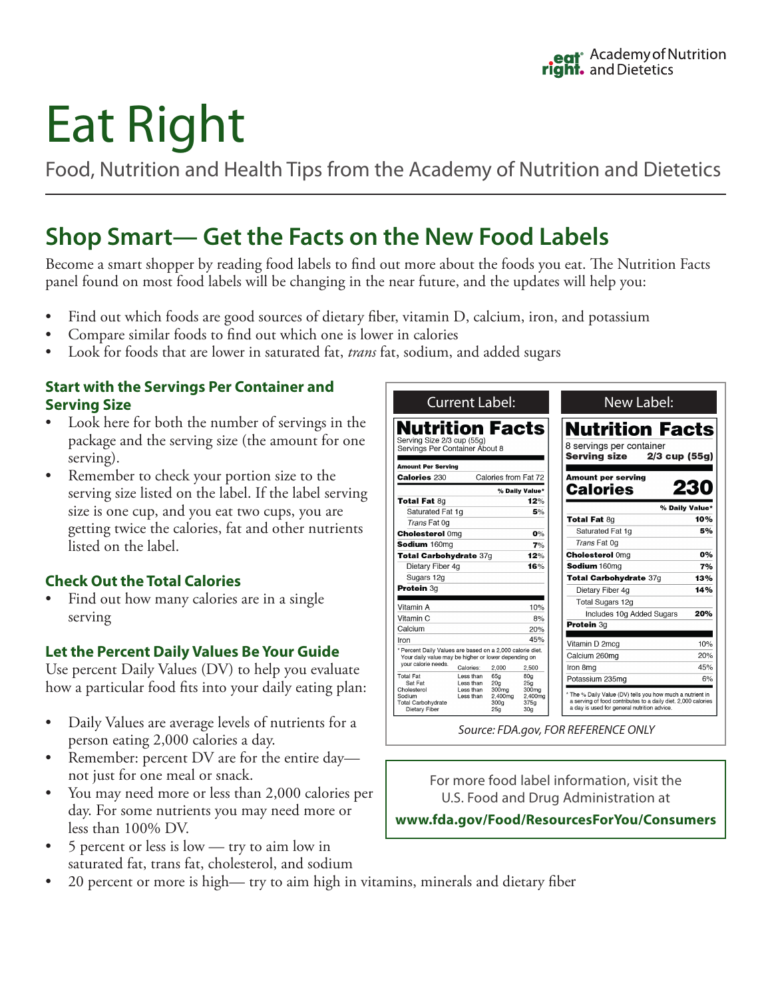# Eat Right

Food, Nutrition and Health Tips from the Academy of Nutrition and Dietetics

# **Shop Smart— Get the Facts on the New Food Labels**

Become a smart shopper by reading food labels to find out more about the foods you eat. The Nutrition Facts panel found on most food labels will be changing in the near future, and the updates will help you:

- Find out which foods are good sources of dietary fiber, vitamin D, calcium, iron, and potassium
- Compare similar foods to find out which one is lower in calories
- Look for foods that are lower in saturated fat, *trans* fat, sodium, and added sugars

#### **Start with the Servings Per Container and Serving Size**

- Look here for both the number of servings in the package and the serving size (the amount for one serving).
- Remember to check your portion size to the serving size listed on the label. If the label serving size is one cup, and you eat two cups, you are getting twice the calories, fat and other nutrients listed on the label.

#### **Check Out the Total Calories**

Find out how many calories are in a single serving

#### **Let the Percent Daily Values Be Your Guide**

Use percent Daily Values (DV) to help you evaluate how a particular food fits into your daily eating plan:

- Daily Values are average levels of nutrients for a person eating 2,000 calories a day.
- Remember: percent DV are for the entire daynot just for one meal or snack.
- You may need more or less than 2,000 calories per day. For some nutrients you may need more or less than 100% DV.
- 5 percent or less is low try to aim low in saturated fat, trans fat, cholesterol, and sodium
- 20 percent or more is high— try to aim high in vitamins, minerals and dietary fiber

| <b>Current Label:</b>                                                                  |                                     |                                                    |                                        | New Label:                                                                                                                                                                                         |                |  |
|----------------------------------------------------------------------------------------|-------------------------------------|----------------------------------------------------|----------------------------------------|----------------------------------------------------------------------------------------------------------------------------------------------------------------------------------------------------|----------------|--|
| <b>Nutrition Facts</b><br>Serving Size 2/3 cup (55g)<br>Servings Per Container About 8 |                                     |                                                    |                                        | <b>Nutrition Facts</b><br>8 servings per container<br>Serving size<br>$2/3$ cup (55q)                                                                                                              |                |  |
| Amount Per Serving                                                                     |                                     | Calories from Fat 72                               |                                        | <b>Amount per serving</b>                                                                                                                                                                          |                |  |
| <b>Calories 230</b>                                                                    |                                     |                                                    |                                        | <b>Calories</b>                                                                                                                                                                                    | 230            |  |
| <b>Total Fat 8g</b>                                                                    |                                     |                                                    | % Daily Value*<br>12%                  |                                                                                                                                                                                                    |                |  |
| Saturated Fat 1g                                                                       |                                     |                                                    | 5%                                     |                                                                                                                                                                                                    | % Daily Value* |  |
| Trans Fat 0g                                                                           |                                     |                                                    |                                        | <b>Total Fat 8g</b>                                                                                                                                                                                | 10%            |  |
| <b>Cholesterol Omg</b><br>0%                                                           |                                     |                                                    |                                        | Saturated Fat 1g                                                                                                                                                                                   | 5%             |  |
| Sodium 160mg<br>7%                                                                     |                                     |                                                    |                                        | Trans Fat 0q                                                                                                                                                                                       |                |  |
| Total Carbohydrate 37g<br>12%                                                          |                                     |                                                    |                                        | <b>Cholesterol Omg</b>                                                                                                                                                                             | 0%             |  |
| Dietary Fiber 4q<br>16%                                                                |                                     |                                                    |                                        | Sodium 160mg                                                                                                                                                                                       | 7%             |  |
| Sugars 12g                                                                             |                                     |                                                    |                                        | Total Carbohydrate 37g                                                                                                                                                                             | 13%            |  |
| Protein 3g                                                                             |                                     |                                                    |                                        | Dietary Fiber 4g                                                                                                                                                                                   | 14%            |  |
| Vitamin A                                                                              |                                     |                                                    | 10%                                    | Total Sugars 12g                                                                                                                                                                                   |                |  |
| Vitamin C                                                                              |                                     |                                                    | 8%                                     | Includes 10g Added Sugars                                                                                                                                                                          | 20%            |  |
| Calcium<br>20%                                                                         |                                     |                                                    |                                        | Protein 3g                                                                                                                                                                                         |                |  |
| Iron                                                                                   |                                     |                                                    | 45%                                    |                                                                                                                                                                                                    |                |  |
| * Percent Daily Values are based on a 2,000 calorie diet.                              |                                     |                                                    |                                        | Vitamin D 2mcq                                                                                                                                                                                     | 10%            |  |
| Your daily value may be higher or lower depending on<br>vour calorie needs.            |                                     |                                                    |                                        | Calcium 260mg                                                                                                                                                                                      | 20%            |  |
| <b>Total Fat</b>                                                                       | Calories:<br>Less than              | 2.000<br>65a                                       | 2.500<br>80a                           | Iron 8ma                                                                                                                                                                                           | 45%            |  |
| Sat Fat<br>Cholesterol<br>Sodium<br><b>Total Carbohydrate</b><br>Dietary Fiber         | Less than<br>Less than<br>Less than | 20 <sub>a</sub><br>300mg<br>2,400mg<br>300a<br>25a | 25a<br>300mg<br>2,400mg<br>375a<br>30a | 6%<br>Potassium 235mg<br>* The % Daily Value (DV) tells you how much a nutrient in<br>a serving of food contributes to a daily diet, 2,000 calories<br>a day is used for general nutrition advice. |                |  |

For more food label information, visit the U.S. Food and Drug Administration at **www.fda.gov/Food/ResourcesForYou/Consumers**